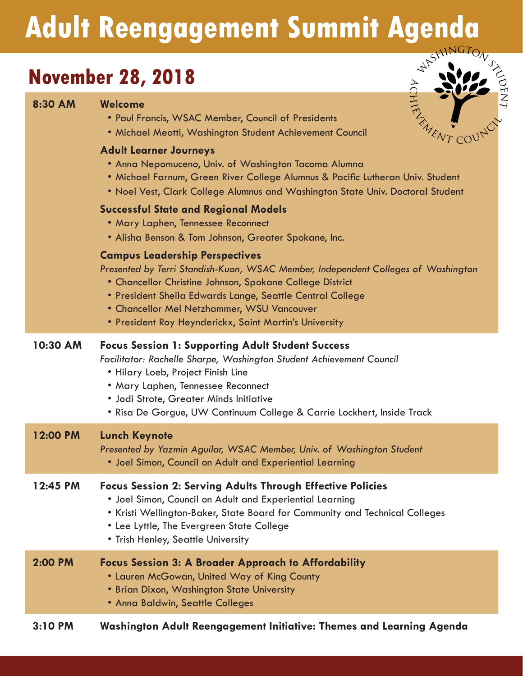# **Adult Reengagement Summit Agenda**

## **November 28, 2018**

**8:30 AM Welcome**



| • Paul Francis, WSAC Member, Council of Presidents       |
|----------------------------------------------------------|
| • Michael Meotti, Washington Student Achievement Council |

#### **Adult Learner Journeys**

- Anna Nepomuceno, Univ. of Washington Tacoma Alumna
- Michael Farnum, Green River College Alumnus & Pacific Lutheran Univ. Student
- Noel Vest, Clark College Alumnus and Washington State Univ. Doctoral Student

#### **Successful State and Regional Models**

- Mary Laphen, Tennessee Reconnect
- Alisha Benson & Tom Johnson, Greater Spokane, Inc.

#### **Campus Leadership Perspectives**

*Presented by Terri Standish-Kuon, WSAC Member, Independent Colleges of Washington*

- Chancellor Christine Johnson, Spokane College District
- President Sheila Edwards Lange, Seattle Central College
- Chancellor Mel Netzhammer, WSU Vancouver
- President Roy Heynderickx, Saint Martin's University

#### **10:30 AM Focus Session 1: Supporting Adult Student Success**

*Facilitator: Rachelle Sharpe, Washington Student Achievement Council*

- Hilary Loeb, Project Finish Line
- Mary Laphen, Tennessee Reconnect
- Jodi Strote, Greater Minds Initiative
- Risa De Gorgue, UW Continuum College & Carrie Lockhert, Inside Track

| 12:00 PM | <b>Lunch Keynote</b><br>Presented by Yazmin Aguilar, WSAC Member, Univ. of Washington Student<br>• Joel Simon, Council on Adult and Experiential Learning                                                    |
|----------|--------------------------------------------------------------------------------------------------------------------------------------------------------------------------------------------------------------|
| 12:45 PM | <b>Focus Session 2: Serving Adults Through Effective Policies</b><br>• Joel Simon, Council on Adult and Experiential Learning<br>• Kristi Wellington-Baker, State Board for Community and Technical Colleges |

- Lee Lyttle, The Evergreen State College
- Trish Henley, Seattle University

| 2:00 PM | <b>Focus Session 3: A Broader Approach to Affordability</b><br>• Lauren McGowan, United Way of King County<br>• Brian Dixon, Washington State University<br>• Anna Baldwin, Seattle Colleges |  |
|---------|----------------------------------------------------------------------------------------------------------------------------------------------------------------------------------------------|--|
|         |                                                                                                                                                                                              |  |